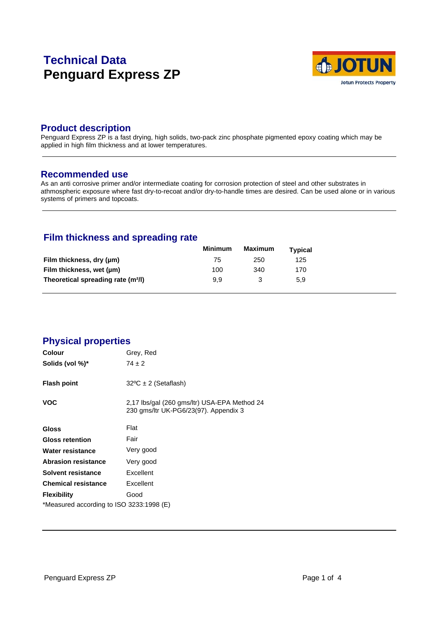# **Technical Data Penguard Express ZP**



### **Product description**

Penguard Express ZP is a fast drying, high solids, two-pack zinc phosphate pigmented epoxy coating which may be applied in high film thickness and at lower temperatures.

#### **Recommended use**

As an anti corrosive primer and/or intermediate coating for corrosion protection of steel and other substrates in athmospheric exposure where fast dry-to-recoat and/or dry-to-handle times are desired. Can be used alone or in various systems of primers and topcoats.

# **Film thickness and spreading rate**

|                                                | <b>Minimum</b> | Maximum | <b>Typical</b> |  |
|------------------------------------------------|----------------|---------|----------------|--|
| Film thickness, dry (µm)                       | 75             | 250     | 125            |  |
| Film thickness, wet (µm)                       | 100            | 340     | 170            |  |
| Theoretical spreading rate (m <sup>2</sup> /l) | 9.9            |         | 5.9            |  |

### **Physical properties**

| <b>Colour</b>                            | Grey, Red                                                                             |  |  |
|------------------------------------------|---------------------------------------------------------------------------------------|--|--|
| Solids (vol %)*                          | $74 \pm 2$                                                                            |  |  |
| <b>Flash point</b>                       | $32^{\circ}C \pm 2$ (Setaflash)                                                       |  |  |
| <b>VOC</b>                               | 2,17 lbs/gal (260 gms/ltr) USA-EPA Method 24<br>230 gms/ltr UK-PG6/23(97). Appendix 3 |  |  |
| Gloss                                    | Flat                                                                                  |  |  |
| <b>Gloss retention</b>                   | Fair                                                                                  |  |  |
| Water resistance                         | Very good                                                                             |  |  |
| <b>Abrasion resistance</b>               | Very good                                                                             |  |  |
| Solvent resistance                       | Excellent                                                                             |  |  |
| <b>Chemical resistance</b>               | Excellent                                                                             |  |  |
| <b>Flexibility</b>                       | Good                                                                                  |  |  |
| *Measured according to ISO 3233:1998 (E) |                                                                                       |  |  |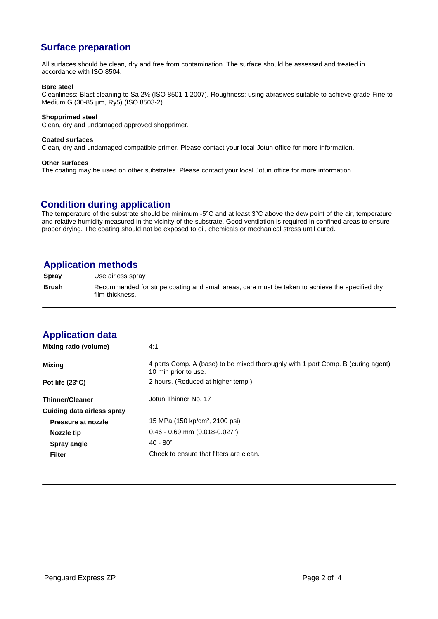# **Surface preparation**

All surfaces should be clean, dry and free from contamination. The surface should be assessed and treated in accordance with ISO 8504.

#### **Bare steel**

Cleanliness: Blast cleaning to Sa 2½ (ISO 8501-1:2007). Roughness: using abrasives suitable to achieve grade Fine to Medium G (30-85 µm, Ry5) (ISO 8503-2)

#### **Shopprimed steel**

Clean, dry and undamaged approved shopprimer.

#### **Coated surfaces**

Clean, dry and undamaged compatible primer. Please contact your local Jotun office for more information.

#### **Other surfaces**

The coating may be used on other substrates. Please contact your local Jotun office for more information.

### **Condition during application**

The temperature of the substrate should be minimum -5°C and at least 3°C above the dew point of the air, temperature and relative humidity measured in the vicinity of the substrate. Good ventilation is required in confined areas to ensure proper drying. The coating should not be exposed to oil, chemicals or mechanical stress until cured.

### **Application methods**

**Spray** Use airless spray

**Brush** Recommended for stripe coating and small areas, care must be taken to achieve the specified dry film thickness.

# **Application data**

| Mixing ratio (volume)      | 4:1                                                                                                      |
|----------------------------|----------------------------------------------------------------------------------------------------------|
| <b>Mixing</b>              | 4 parts Comp. A (base) to be mixed thoroughly with 1 part Comp. B (curing agent)<br>10 min prior to use. |
| Pot life $(23^{\circ}C)$   | 2 hours. (Reduced at higher temp.)                                                                       |
| <b>Thinner/Cleaner</b>     | Jotun Thinner No. 17                                                                                     |
| Guiding data airless spray |                                                                                                          |
| Pressure at nozzle         | 15 MPa (150 kp/cm <sup>2</sup> , 2100 psi)                                                               |
| Nozzle tip                 | $0.46 - 0.69$ mm $(0.018 - 0.027")$                                                                      |
| Spray angle                | $40 - 80^{\circ}$                                                                                        |
| <b>Filter</b>              | Check to ensure that filters are clean.                                                                  |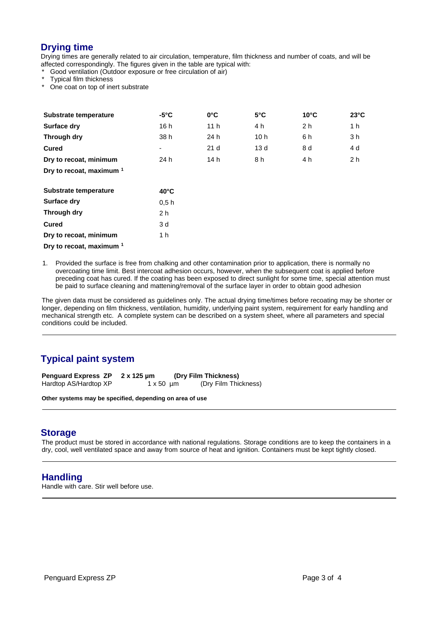## **Drying time**

Drying times are generally related to air circulation, temperature, film thickness and number of coats, and will be affected correspondingly. The figures given in the table are typical with:

Good ventilation (Outdoor exposure or free circulation of air)

Typical film thickness

One coat on top of inert substrate

| Substrate temperature               | $-5^{\circ}$ C | $0^{\circ}$ C   | $5^{\circ}$ C   | $10^{\circ}$ C | $23^{\circ}$ C |  |
|-------------------------------------|----------------|-----------------|-----------------|----------------|----------------|--|
| Surface dry                         | 16 h           | 11 <sub>h</sub> | 4 h             | 2 <sub>h</sub> | 1 h            |  |
| Through dry                         | 38 h           | 24 h            | 10 <sub>h</sub> | 6 h            | 3 h            |  |
| <b>Cured</b>                        | ۰              | 21 <sub>d</sub> | 13d             | 8 d            | 4 d            |  |
| Dry to recoat, minimum              | 24 h           | 14 h            | 8 h             | 4 h            | 2 <sub>h</sub> |  |
| Dry to recoat, maximum <sup>1</sup> |                |                 |                 |                |                |  |
| Substrate temperature               | $40^{\circ}$ C |                 |                 |                |                |  |

| 94001400101100141010   | 40 U |
|------------------------|------|
| <b>Surface dry</b>     | 0.5h |
| Through dry            | 2 h  |
| Cured                  | 3 d  |
| Dry to recoat, minimum | 1 h  |
|                        |      |

**Dry to recoat, maximum <sup>1</sup>**

1. Provided the surface is free from chalking and other contamination prior to application, there is normally no overcoating time limit. Best intercoat adhesion occurs, however, when the subsequent coat is applied before preceding coat has cured. If the coating has been exposed to direct sunlight for some time, special attention must be paid to surface cleaning and mattening/removal of the surface layer in order to obtain good adhesion

The given data must be considered as guidelines only. The actual drying time/times before recoating may be shorter or longer, depending on film thickness, ventilation, humidity, underlying paint system, requirement for early handling and mechanical strength etc. A complete system can be described on a system sheet, where all parameters and special conditions could be included.

# **Typical paint system**

**Penguard Express ZP 2 x 125 µm (Dry Film Thickness)** Hardtop AS/Hardtop XP 1 x 50 µm (Dry Film Thickness)

**Other systems may be specified, depending on area of use**

### **Storage**

The product must be stored in accordance with national regulations. Storage conditions are to keep the containers in a dry, cool, well ventilated space and away from source of heat and ignition. Containers must be kept tightly closed.

### **Handling**

Handle with care. Stir well before use.